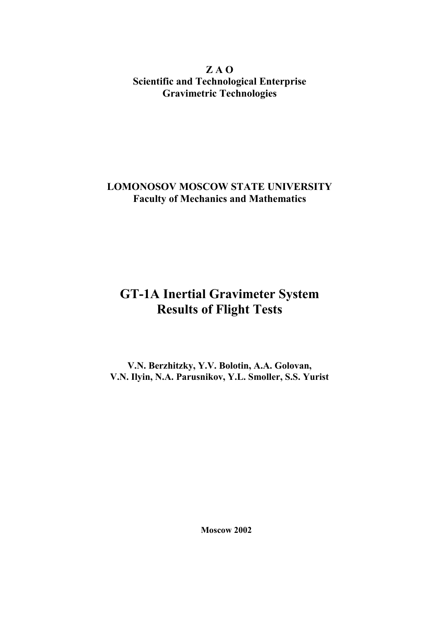**Z A O Scientific and Technological Enterprise Gravimetric Technologies**

### **LOMONOSOV MOSCOW STATE UNIVERSITY Faculty of Mechanics and Mathematics**

# **GT-1A Inertial Gravimeter System Results of Flight Tests**

**V.N. Berzhitzky, Y.V. Bolotin, A.A. Golovan, V.N. Ilyin, N.A. Parusnikov, Y.L. Smoller, S.S. Yurist**

**Moscow 2002**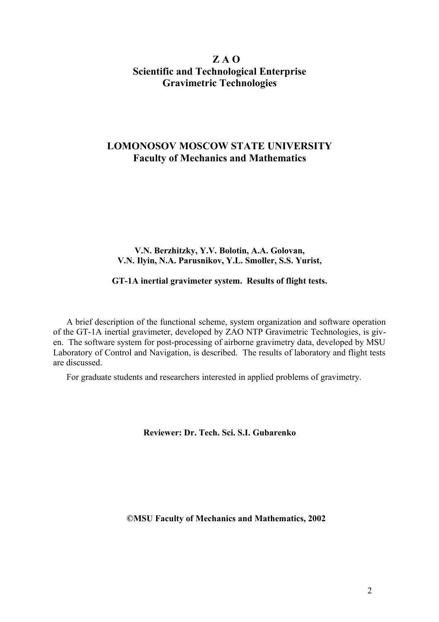### **Z A O Scientific and Technological Enterprise Gravimetric Technologies**

### **LOMONOSOV MOSCOW STATE UNIVERSITY Faculty of Mechanics and Mathematics**

#### **V.N. Berzhitzky, Y.V. Bolotin, A.A. Golovan, V.N. Ilyin, N.A. Parusnikov, Y.L. Smoller, S.S. Yurist,**

#### **GT-1A inertial gravimeter system. Results of flight tests.**

A brief description of the functional scheme, system organization and software operation of the GT-1A inertial gravimeter, developed by ZAO NTP Gravimetric Technologies, is given. The software system for post-processing of airborne gravimetry data, developed by MSU Laboratory of Control and Navigation, is described. The results of laboratory and flight tests are discussed.

For graduate students and researchers interested in applied problems of gravimetry.

**Reviewer: Dr. Tech. Sci. S.I. Gubarenko**

**©MSU Faculty of Mechanics and Mathematics, 2002**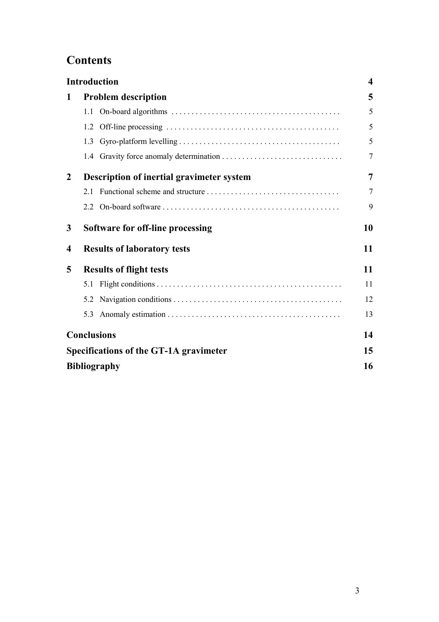# **Contents**

|                  | <b>Introduction</b>                           |    |  |  |  |
|------------------|-----------------------------------------------|----|--|--|--|
| 1                | <b>Problem description</b>                    | 5  |  |  |  |
|                  | 1.1                                           | 5  |  |  |  |
|                  | 1.2                                           | 5  |  |  |  |
|                  | 1.3                                           | 5  |  |  |  |
|                  |                                               | 7  |  |  |  |
| $\overline{2}$   | Description of inertial gravimeter system     |    |  |  |  |
|                  | 21                                            | 7  |  |  |  |
|                  | 22                                            | 9  |  |  |  |
| 3                | Software for off-line processing              |    |  |  |  |
| $\boldsymbol{4}$ | <b>Results of laboratory tests</b>            | 11 |  |  |  |
| 5                | <b>Results of flight tests</b>                | 11 |  |  |  |
|                  | 5.1                                           | 11 |  |  |  |
|                  | 5.2                                           | 12 |  |  |  |
|                  | 5.3                                           | 13 |  |  |  |
|                  | <b>Conclusions</b>                            | 14 |  |  |  |
|                  | <b>Specifications of the GT-1A gravimeter</b> | 15 |  |  |  |
|                  | <b>Bibliography</b>                           | 16 |  |  |  |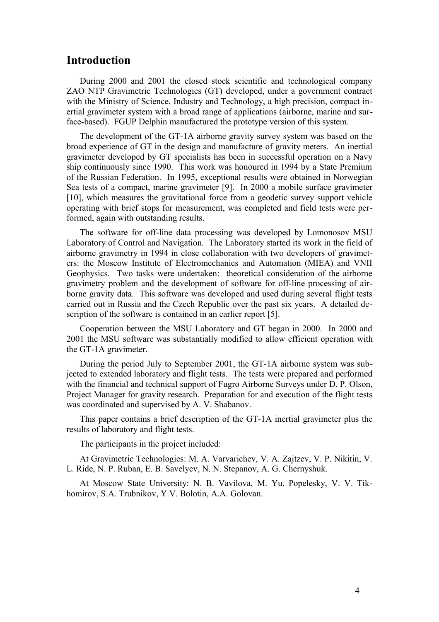### **Introduction**

During 2000 and 2001 the closed stock scientific and technological company ZAO NTP Gravimetric Technologies (GT) developed, under a government contract with the Ministry of Science, Industry and Technology, a high precision, compact inertial gravimeter system with a broad range of applications (airborne, marine and surface-based). FGUP Delphin manufactured the prototype version of this system.

The development of the GT-1A airborne gravity survey system was based on the broad experience of GT in the design and manufacture of gravity meters. An inertial gravimeter developed by GT specialists has been in successful operation on a Navy ship continuously since 1990. This work was honoured in 1994 by a State Premium of the Russian Federation. In 1995, exceptional results were obtained in Norwegian Sea tests of a compact, marine gravimeter [9]. In 2000 a mobile surface gravimeter [10], which measures the gravitational force from a geodetic survey support vehicle operating with brief stops for measurement, was completed and field tests were performed, again with outstanding results.

The software for off-line data processing was developed by Lomonosov MSU Laboratory of Control and Navigation. The Laboratory started its work in the field of airborne gravimetry in 1994 in close collaboration with two developers of gravimeters: the Moscow Institute of Electromechanics and Automation (MIEA) and VNII Geophysics. Two tasks were undertaken: theoretical consideration of the airborne gravimetry problem and the development of software for off-line processing of airborne gravity data. This software was developed and used during several flight tests carried out in Russia and the Czech Republic over the past six years. A detailed description of the software is contained in an earlier report [5].

Cooperation between the MSU Laboratory and GT began in 2000. In 2000 and 2001 the MSU software was substantially modified to allow efficient operation with the GT-1A gravimeter.

During the period July to September 2001, the GT-1A airborne system was subjected to extended laboratory and flight tests. The tests were prepared and performed with the financial and technical support of Fugro Airborne Surveys under D. P. Olson, Project Manager for gravity research. Preparation for and execution of the flight tests was coordinated and supervised by A. V. Shabanov.

This paper contains a brief description of the GT-1A inertial gravimeter plus the results of laboratory and flight tests.

The participants in the project included:

At Gravimetric Technologies: M. A. Varvarichev, V. A. Zajtzev, V. P. Nikitin, V. L. Ride, N. P. Ruban, E. B. Savelyev, N. N. Stepanov, A. G. Chernyshuk.

At Moscow State University: N. B. Vavilova, M. Yu. Popelesky, V. V. Tikhomirov, S.A. Trubnikov, Y.V. Bolotin, A.A. Golovan.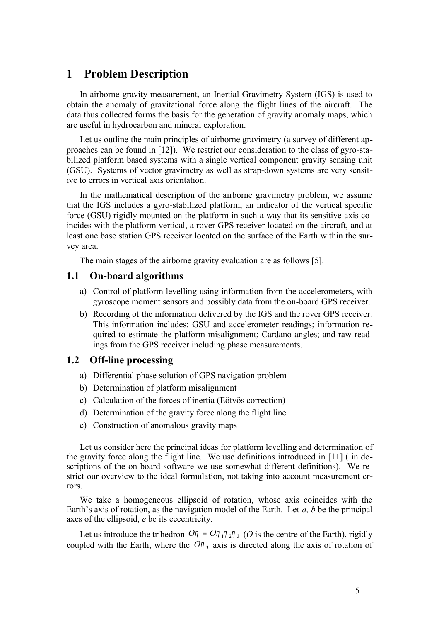### **1 Problem Description**

In airborne gravity measurement, an Inertial Gravimetry System (IGS) is used to obtain the anomaly of gravitational force along the flight lines of the aircraft. The data thus collected forms the basis for the generation of gravity anomaly maps, which are useful in hydrocarbon and mineral exploration.

Let us outline the main principles of airborne gravimetry (a survey of different approaches can be found in [12]). We restrict our consideration to the class of gyro-stabilized platform based systems with a single vertical component gravity sensing unit (GSU). Systems of vector gravimetry as well as strap-down systems are very sensitive to errors in vertical axis orientation.

In the mathematical description of the airborne gravimetry problem, we assume that the IGS includes a gyro-stabilized platform, an indicator of the vertical specific force (GSU) rigidly mounted on the platform in such a way that its sensitive axis coincides with the platform vertical, a rover GPS receiver located on the aircraft, and at least one base station GPS receiver located on the surface of the Earth within the survey area.

The main stages of the airborne gravity evaluation are as follows [5].

#### **1.1 On-board algorithms**

- a) Control of platform levelling using information from the accelerometers, with gyroscope moment sensors and possibly data from the on-board GPS receiver.
- b) Recording of the information delivered by the IGS and the rover GPS receiver. This information includes: GSU and accelerometer readings; information required to estimate the platform misalignment; Cardano angles; and raw readings from the GPS receiver including phase measurements.

### **1.2 Off-line processing**

- a) Differential phase solution of GPS navigation problem
- b) Determination of platform misalignment
- c) Calculation of the forces of inertia (Eötvös correction)
- d) Determination of the gravity force along the flight line
- e) Construction of anomalous gravity maps

Let us consider here the principal ideas for platform levelling and determination of the gravity force along the flight line. We use definitions introduced in [11] ( in descriptions of the on-board software we use somewhat different definitions). We restrict our overview to the ideal formulation, not taking into account measurement errors.

We take a homogeneous ellipsoid of rotation, whose axis coincides with the Earth's axis of rotation, as the navigation model of the Earth. Let *a, b* be the principal axes of the ellipsoid, *e* be its eccentricity.

Let us introduce the trihedron  $O\eta = O\eta \eta \eta_2 \eta_3$  (*O* is the centre of the Earth), rigidly coupled with the Earth, where the  $O\eta_3$  axis is directed along the axis of rotation of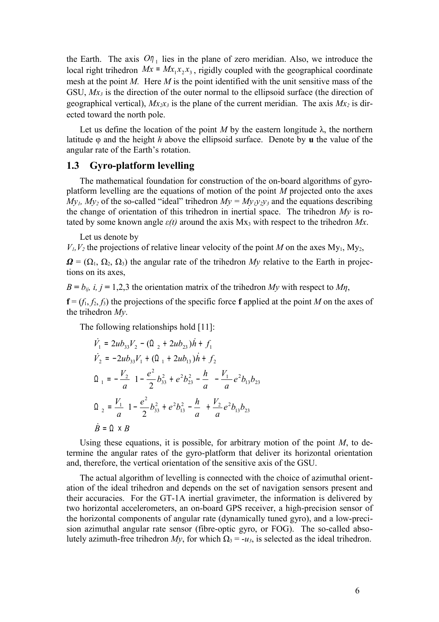the Earth. The axis  $O_{\eta_1}$  lies in the plane of zero meridian. Also, we introduce the local right trihedron  $Mx = Mx_1x_2x_3$ , rigidly coupled with the geographical coordinate mesh at the point *M.* Here *M* is the point identified with the unit sensitive mass of the GSU, *Mx3* is the direction of the outer normal to the ellipsoid surface (the direction of geographical vertical),  $Mx_2x_3$  is the plane of the current meridian. The axis  $Mx_2$  is directed toward the north pole.

Let us define the location of the point *M* by the eastern longitude  $\lambda$ , the northern latitude φ and the height *h* above the ellipsoid surface. Denote by **u** the value of the angular rate of the Earth's rotation.

### **1.3 Gyro-platform levelling**

The mathematical foundation for construction of the on-board algorithms of gyroplatform levelling are the equations of motion of the point *M* projected onto the axes  $My<sub>1</sub>$ ,  $My<sub>2</sub>$  of the so-called "ideal" trihedron  $My = My<sub>1</sub>y<sub>2</sub>y<sub>3</sub>$  and the equations describing the change of orientation of this trihedron in inertial space. The trihedron *My* is rotated by some known angle  $\varepsilon(t)$  around the axis Mx<sub>3</sub> with respect to the trihedron *Mx*.

Let us denote by

 $V_1, V_2$  the projections of relative linear velocity of the point *M* on the axes My<sub>1</sub>, My<sub>2</sub>,

 $\Omega = (\Omega_1, \Omega_2, \Omega_3)$  the angular rate of the trihedron *My* relative to the Earth in projections on its axes,

 $B = b_{ij}$ , *i*, *j* = 1,2,3 the orientation matrix of the trihedron *My* with respect to *Mη*,

 $f = (f_1, f_2, f_3)$  the projections of the specific force **f** applied at the point *M* on the axes of the trihedron *My*.

The following relationships hold [11]:

$$
\dot{V}_1 = 2ub_{33}V_2 - (\Omega_2 + 2ub_{23})\dot{h} + f_1
$$
\n
$$
\dot{V}_2 = -2ub_{33}V_1 + (\Omega_1 + 2ub_{13})\dot{h} + f_2
$$
\n
$$
\Omega_1 = -\frac{V_2}{a} \left( 1 - \frac{e^2}{2} b_{33}^2 + e^2 b_{23}^2 - \frac{h}{a} \right) - \frac{V_1}{a} e^2 b_{13} b_{23}
$$
\n
$$
\Omega_2 = \frac{V_1}{a} \left( 1 - \frac{e^2}{2} b_{33}^2 + e^2 b_{13}^2 - \frac{h}{a} \right) + \frac{V_2}{a} e^2 b_{13} b_{23}
$$
\n
$$
\dot{B} = \Omega \times B
$$

Using these equations, it is possible, for arbitrary motion of the point *M*, to determine the angular rates of the gyro-platform that deliver its horizontal orientation and, therefore, the vertical orientation of the sensitive axis of the GSU.

The actual algorithm of levelling is connected with the choice of azimuthal orientation of the ideal trihedron and depends on the set of navigation sensors present and their accuracies. For the GT-1A inertial gravimeter, the information is delivered by two horizontal accelerometers, an on-board GPS receiver, a high-precision sensor of the horizontal components of angular rate (dynamically tuned gyro), and a low-precision azimuthal angular rate sensor (fibre-optic gyro, or FOG). The so-called absolutely azimuth-free trihedron *My*, for which  $Ω_3 = -u_3$ , is selected as the ideal trihedron.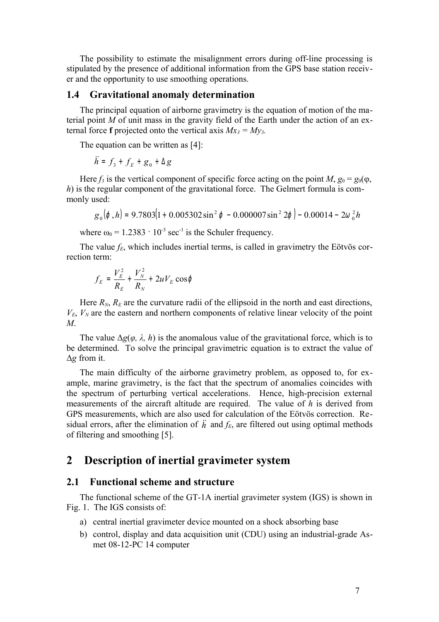The possibility to estimate the misalignment errors during off-line processing is stipulated by the presence of additional information from the GPS base station receiver and the opportunity to use smoothing operations.

#### **1.4 Gravitational anomaly determination**

The principal equation of airborne gravimetry is the equation of motion of the material point *M* of unit mass in the gravity field of the Earth under the action of an external force **f** projected onto the vertical axis  $Mx_3 = My_3$ .

The equation can be written as [4]:

$$
\ddot{h} = f_3 + f_E + g_0 + \Delta g
$$

Here  $f_3$  is the vertical component of specific force acting on the point *M*,  $g_0 = g_0(\varphi, \varphi)$ *h*) is the regular component of the gravitational force. The Gelmert formula is commonly used:

$$
g_0(\varphi, h) = 9.7803(1 + 0.005302 \sin^2 \varphi - 0.000007 \sin^2 2\varphi) - 0.00014 - 2\omega_0^2 h
$$

where  $\omega_0 = 1.2383 \cdot 10^{-3} \text{ sec}^{-1}$  is the Schuler frequency.

The value  $f_E$ , which includes inertial terms, is called in gravimetry the Eötvös correction term:

$$
f_E = \frac{V_E^2}{R_E} + \frac{V_N^2}{R_N} + 2uV_E \cos\varphi
$$

Here  $R_N$ ,  $R_E$  are the curvature radii of the ellipsoid in the north and east directions,  $V_E$ ,  $V_N$  are the eastern and northern components of relative linear velocity of the point *M*.

The value  $\Delta g(\varphi, \lambda, h)$  is the anomalous value of the gravitational force, which is to be determined. To solve the principal gravimetric equation is to extract the value of Δ*g* from it.

The main difficulty of the airborne gravimetry problem, as opposed to, for example, marine gravimetry, is the fact that the spectrum of anomalies coincides with the spectrum of perturbing vertical accelerations. Hence, high-precision external measurements of the aircraft altitude are required. The value of *h* is derived from GPS measurements, which are also used for calculation of the Eötvös correction. Residual errors, after the elimination of  $\ddot{h}$  and  $f_E$ , are filtered out using optimal methods of filtering and smoothing [5].

### **2 Description of inertial gravimeter system**

#### **2.1 Functional scheme and structure**

The functional scheme of the GT-1A inertial gravimeter system (IGS) is shown in Fig. 1. The IGS consists of:

- a) central inertial gravimeter device mounted on a shock absorbing base
- b) control, display and data acquisition unit (CDU) using an industrial-grade Asmet 08-12-PC 14 computer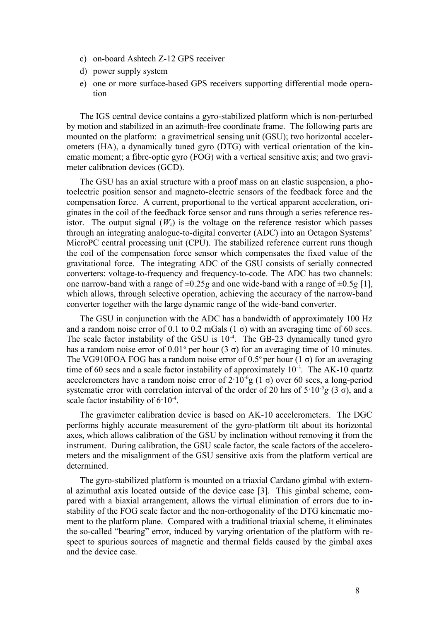- c) on-board Ashtech Z-12 GPS receiver
- d) power supply system
- e) one or more surface-based GPS receivers supporting differential mode operation

The IGS central device contains a gyro-stabilized platform which is non-perturbed by motion and stabilized in an azimuth-free coordinate frame. The following parts are mounted on the platform: a gravimetrical sensing unit (GSU); two horizontal accelerometers (HA), a dynamically tuned gyro (DTG) with vertical orientation of the kinematic moment; a fibre-optic gyro (FOG) with a vertical sensitive axis; and two gravimeter calibration devices (GCD).

The GSU has an axial structure with a proof mass on an elastic suspension, a photoelectric position sensor and magneto-electric sensors of the feedback force and the compensation force. A current, proportional to the vertical apparent acceleration, originates in the coil of the feedback force sensor and runs through a series reference resistor. The output signal  $(W<sub>z</sub>)$  is the voltage on the reference resistor which passes through an integrating analogue-to-digital converter (ADC) into an Octagon Systems' MicroPC central processing unit (CPU). The stabilized reference current runs though the coil of the compensation force sensor which compensates the fixed value of the gravitational force. The integrating ADC of the GSU consists of serially connected converters: voltage-to-frequency and frequency-to-code. The ADC has two channels: one narrow-band with a range of  $\pm 0.25g$  and one wide-band with a range of  $\pm 0.5g$  [1], which allows, through selective operation, achieving the accuracy of the narrow-band converter together with the large dynamic range of the wide-band converter.

The GSU in conjunction with the ADC has a bandwidth of approximately 100 Hz and a random noise error of 0.1 to 0.2 mGals  $(1 \sigma)$  with an averaging time of 60 secs. The scale factor instability of the GSU is  $10<sup>4</sup>$ . The GB-23 dynamically tuned gyro has a random noise error of  $0.01^{\circ}$  per hour (3  $\sigma$ ) for an averaging time of 10 minutes. The VG910FOA FOG has a random noise error of 0.5° per hour (1  $\sigma$ ) for an averaging time of 60 secs and a scale factor instability of approximately  $10^{-3}$ . The AK-10 quartz accelerometers have a random noise error of  $2.10^{-6}$ g (1  $\sigma$ ) over 60 secs, a long-period systematic error with correlation interval of the order of 20 hrs of  $5.10^{-5}g$  (3  $\sigma$ ), and a scale factor instability of  $6.10^{-4}$ .

The gravimeter calibration device is based on AK-10 accelerometers. The DGC performs highly accurate measurement of the gyro-platform tilt about its horizontal axes, which allows calibration of the GSU by inclination without removing it from the instrument. During calibration, the GSU scale factor, the scale factors of the accelerometers and the misalignment of the GSU sensitive axis from the platform vertical are determined.

The gyro-stabilized platform is mounted on a triaxial Cardano gimbal with external azimuthal axis located outside of the device case [3]. This gimbal scheme, compared with a biaxial arrangement, allows the virtual elimination of errors due to instability of the FOG scale factor and the non-orthogonality of the DTG kinematic moment to the platform plane. Compared with a traditional triaxial scheme, it eliminates the so-called "bearing" error, induced by varying orientation of the platform with respect to spurious sources of magnetic and thermal fields caused by the gimbal axes and the device case.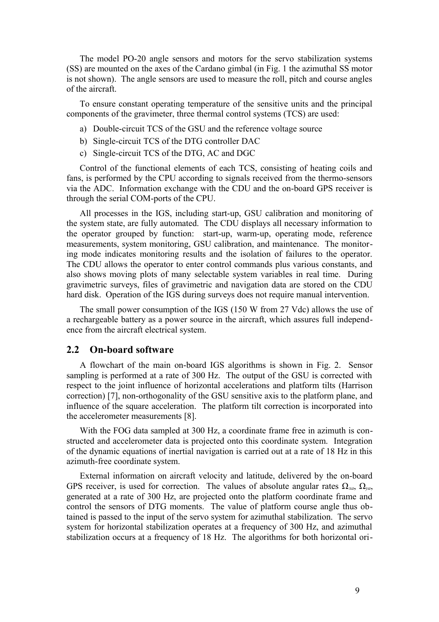The model PO-20 angle sensors and motors for the servo stabilization systems (SS) are mounted on the axes of the Cardano gimbal (in Fig. 1 the azimuthal SS motor is not shown). The angle sensors are used to measure the roll, pitch and course angles of the aircraft.

To ensure constant operating temperature of the sensitive units and the principal components of the gravimeter, three thermal control systems (TCS) are used:

- a) Double-circuit TCS of the GSU and the reference voltage source
- b) Single-circuit TCS of the DTG controller DAC
- c) Single-circuit TCS of the DTG, AC and DGC

Control of the functional elements of each TCS, consisting of heating coils and fans, is performed by the CPU according to signals received from the thermo-sensors via the ADC. Information exchange with the CDU and the on-board GPS receiver is through the serial COM-ports of the CPU.

All processes in the IGS, including start-up, GSU calibration and monitoring of the system state, are fully automated. The CDU displays all necessary information to the operator grouped by function: start-up, warm-up, operating mode, reference measurements, system monitoring, GSU calibration, and maintenance. The monitoring mode indicates monitoring results and the isolation of failures to the operator. The CDU allows the operator to enter control commands plus various constants, and also shows moving plots of many selectable system variables in real time. During gravimetric surveys, files of gravimetric and navigation data are stored on the CDU hard disk. Operation of the IGS during surveys does not require manual intervention.

The small power consumption of the IGS (150 W from 27 Vdc) allows the use of a rechargeable battery as a power source in the aircraft, which assures full independence from the aircraft electrical system.

#### **2.2 On-board software**

A flowchart of the main on-board IGS algorithms is shown in Fig. 2. Sensor sampling is performed at a rate of 300 Hz. The output of the GSU is corrected with respect to the joint influence of horizontal accelerations and platform tilts (Harrison correction) [7], non-orthogonality of the GSU sensitive axis to the platform plane, and influence of the square acceleration. The platform tilt correction is incorporated into the accelerometer measurements [8].

With the FOG data sampled at 300 Hz, a coordinate frame free in azimuth is constructed and accelerometer data is projected onto this coordinate system. Integration of the dynamic equations of inertial navigation is carried out at a rate of 18 Hz in this azimuth-free coordinate system.

External information on aircraft velocity and latitude, delivered by the on-board GPS receiver, is used for correction. The values of absolute angular rates  $\Omega_{xa}$ ,  $\Omega_{ya}$ , generated at a rate of 300 Hz, are projected onto the platform coordinate frame and control the sensors of DTG moments. The value of platform course angle thus obtained is passed to the input of the servo system for azimuthal stabilization. The servo system for horizontal stabilization operates at a frequency of 300 Hz, and azimuthal stabilization occurs at a frequency of 18 Hz. The algorithms for both horizontal ori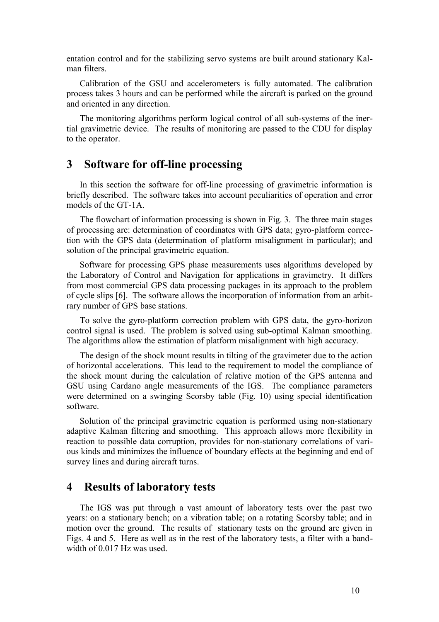entation control and for the stabilizing servo systems are built around stationary Kalman filters.

Calibration of the GSU and accelerometers is fully automated. The calibration process takes 3 hours and can be performed while the aircraft is parked on the ground and oriented in any direction.

The monitoring algorithms perform logical control of all sub-systems of the inertial gravimetric device. The results of monitoring are passed to the CDU for display to the operator.

### **3 Software for off-line processing**

In this section the software for off-line processing of gravimetric information is briefly described. The software takes into account peculiarities of operation and error models of the GT-1A.

The flowchart of information processing is shown in Fig. 3. The three main stages of processing are: determination of coordinates with GPS data; gyro-platform correction with the GPS data (determination of platform misalignment in particular); and solution of the principal gravimetric equation.

Software for processing GPS phase measurements uses algorithms developed by the Laboratory of Control and Navigation for applications in gravimetry. It differs from most commercial GPS data processing packages in its approach to the problem of cycle slips [6]. The software allows the incorporation of information from an arbitrary number of GPS base stations.

To solve the gyro-platform correction problem with GPS data, the gyro-horizon control signal is used. The problem is solved using sub-optimal Kalman smoothing. The algorithms allow the estimation of platform misalignment with high accuracy.

The design of the shock mount results in tilting of the gravimeter due to the action of horizontal accelerations. This lead to the requirement to model the compliance of the shock mount during the calculation of relative motion of the GPS antenna and GSU using Cardano angle measurements of the IGS. The compliance parameters were determined on a swinging Scorsby table (Fig. 10) using special identification software.

Solution of the principal gravimetric equation is performed using non-stationary adaptive Kalman filtering and smoothing. This approach allows more flexibility in reaction to possible data corruption, provides for non-stationary correlations of various kinds and minimizes the influence of boundary effects at the beginning and end of survey lines and during aircraft turns.

### **4 Results of laboratory tests**

The IGS was put through a vast amount of laboratory tests over the past two years: on a stationary bench; on a vibration table; on a rotating Scorsby table; and in motion over the ground. The results of stationary tests on the ground are given in Figs. 4 and 5. Here as well as in the rest of the laboratory tests, a filter with a bandwidth of 0.017 Hz was used.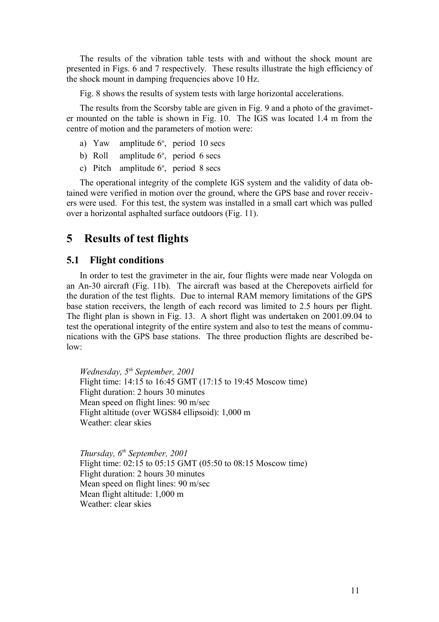The results of the vibration table tests with and without the shock mount are presented in Figs. 6 and 7 respectively. These results illustrate the high efficiency of the shock mount in damping frequencies above 10 Hz.

Fig. 8 shows the results of system tests with large horizontal accelerations.

The results from the Scorsby table are given in Fig. 9 and a photo of the gravimeter mounted on the table is shown in Fig. 10. The IGS was located 1.4 m from the centre of motion and the parameters of motion were:

- a) Yaw amplitude  $6^\circ$ , period 10 secs
- b) Roll amplitude  $6^\circ$ , period 6 secs
- c) Pitch amplitude  $6^\circ$ , period 8 secs

The operational integrity of the complete IGS system and the validity of data obtained were verified in motion over the ground, where the GPS base and rover receivers were used. For this test, the system was installed in a small cart which was pulled over a horizontal asphalted surface outdoors (Fig. 11).

### **5 Results of test flights**

#### **5.1 Flight conditions**

In order to test the gravimeter in the air, four flights were made near Vologda on an An-30 aircraft (Fig. 11b). The aircraft was based at the Cherepovets airfield for the duration of the test flights. Due to internal RAM memory limitations of the GPS base station receivers, the length of each record was limited to 2.5 hours per flight. The flight plan is shown in Fig. 13. A short flight was undertaken on 2001.09.04 to test the operational integrity of the entire system and also to test the means of communications with the GPS base stations. The three production flights are described below:

*Wednesday, 5th September, 2001*  Flight time: 14:15 to 16:45 GMT (17:15 to 19:45 Moscow time) Flight duration: 2 hours 30 minutes Mean speed on flight lines: 90 m/sec Flight altitude (over WGS84 ellipsoid): 1,000 m Weather: clear skies

*Thursday, 6th September, 2001*  Flight time: 02:15 to 05:15 GMT (05:50 to 08:15 Moscow time) Flight duration: 2 hours 30 minutes Mean speed on flight lines: 90 m/sec Mean flight altitude: 1,000 m Weather: clear skies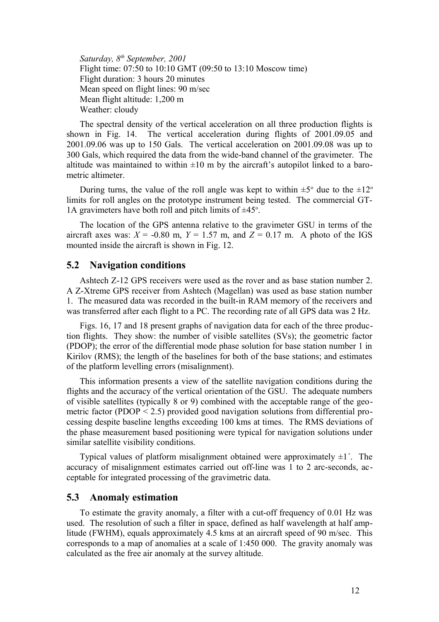*Saturday, 8th September, 2001*  Flight time: 07:50 to 10:10 GMT (09:50 to 13:10 Moscow time) Flight duration: 3 hours 20 minutes Mean speed on flight lines: 90 m/sec Mean flight altitude: 1,200 m Weather: cloudy

The spectral density of the vertical acceleration on all three production flights is shown in Fig. 14. The vertical acceleration during flights of 2001.09.05 and 2001.09.06 was up to 150 Gals. The vertical acceleration on 2001.09.08 was up to 300 Gals, which required the data from the wide-band channel of the gravimeter. The altitude was maintained to within  $\pm 10$  m by the aircraft's autopilot linked to a barometric altimeter.

During turns, the value of the roll angle was kept to within  $\pm 5^{\circ}$  due to the  $\pm 12^{\circ}$ limits for roll angles on the prototype instrument being tested. The commercial GT-1A gravimeters have both roll and pitch limits of  $\pm 45^\circ$ .

The location of the GPS antenna relative to the gravimeter GSU in terms of the aircraft axes was:  $X = -0.80$  m,  $Y = 1.57$  m, and  $Z = 0.17$  m. A photo of the IGS mounted inside the aircraft is shown in Fig. 12.

#### **5.2 Navigation conditions**

Ashtech Z-12 GPS receivers were used as the rover and as base station number 2. A Z-Xtreme GPS receiver from Ashtech (Magellan) was used as base station number 1. The measured data was recorded in the built-in RAM memory of the receivers and was transferred after each flight to a PC. The recording rate of all GPS data was 2 Hz.

Figs. 16, 17 and 18 present graphs of navigation data for each of the three production flights. They show: the number of visible satellites (SVs); the geometric factor (PDOP); the error of the differential mode phase solution for base station number 1 in Kirilov (RMS); the length of the baselines for both of the base stations; and estimates of the platform levelling errors (misalignment).

This information presents a view of the satellite navigation conditions during the flights and the accuracy of the vertical orientation of the GSU. The adequate numbers of visible satellites (typically 8 or 9) combined with the acceptable range of the geometric factor (PDOP < 2.5) provided good navigation solutions from differential processing despite baseline lengths exceeding 100 kms at times. The RMS deviations of the phase measurement based positioning were typical for navigation solutions under similar satellite visibility conditions.

Typical values of platform misalignment obtained were approximately  $\pm 1$ . The accuracy of misalignment estimates carried out off-line was 1 to 2 arc-seconds, acceptable for integrated processing of the gravimetric data.

#### **5.3 Anomaly estimation**

To estimate the gravity anomaly, a filter with a cut-off frequency of 0.01 Hz was used. The resolution of such a filter in space, defined as half wavelength at half amplitude (FWHM), equals approximately 4.5 kms at an aircraft speed of 90 m/sec. This corresponds to a map of anomalies at a scale of 1:450 000. The gravity anomaly was calculated as the free air anomaly at the survey altitude.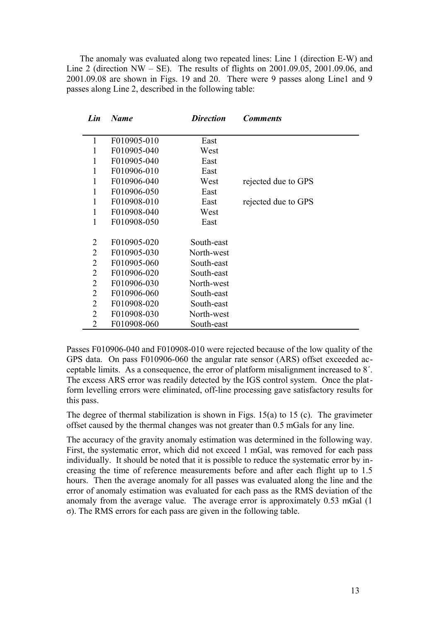The anomaly was evaluated along two repeated lines: Line 1 (direction E-W) and Line 2 (direction NW – SE). The results of flights on  $2001.09.05$ ,  $2001.09.06$ , and 2001.09.08 are shown in Figs. 19 and 20. There were 9 passes along Line1 and 9 passes along Line 2, described in the following table:

| Lin            | Name        | <b>Direction</b> | <b>Comments</b>     |
|----------------|-------------|------------------|---------------------|
|                |             |                  |                     |
| 1              | F010905-010 | East             |                     |
| 1              | F010905-040 | West             |                     |
| 1              | F010905-040 | East             |                     |
| 1              | F010906-010 | East             |                     |
| 1              | F010906-040 | West             | rejected due to GPS |
| 1              | F010906-050 | East             |                     |
| 1              | F010908-010 | East             | rejected due to GPS |
| 1              | F010908-040 | West             |                     |
| 1              | F010908-050 | East             |                     |
|                |             |                  |                     |
| 2              | F010905-020 | South-east       |                     |
| $\overline{2}$ | F010905-030 | North-west       |                     |
| 2              | F010905-060 | South-east       |                     |
| $\overline{2}$ | F010906-020 | South-east       |                     |
| 2              | F010906-030 | North-west       |                     |
| $\overline{2}$ | F010906-060 | South-east       |                     |
| 2              | F010908-020 | South-east       |                     |
| $\overline{2}$ | F010908-030 | North-west       |                     |
| 2              | F010908-060 | South-east       |                     |

Passes F010906-040 and F010908-010 were rejected because of the low quality of the GPS data. On pass F010906-060 the angular rate sensor (ARS) offset exceeded acceptable limits. As a consequence, the error of platform misalignment increased to 8´. The excess ARS error was readily detected by the IGS control system. Once the platform levelling errors were eliminated, off-line processing gave satisfactory results for this pass.

The degree of thermal stabilization is shown in Figs. 15(a) to 15 (c). The gravimeter offset caused by the thermal changes was not greater than 0.5 mGals for any line.

The accuracy of the gravity anomaly estimation was determined in the following way. First, the systematic error, which did not exceed 1 mGal, was removed for each pass individually. It should be noted that it is possible to reduce the systematic error by increasing the time of reference measurements before and after each flight up to 1.5 hours. Then the average anomaly for all passes was evaluated along the line and the error of anomaly estimation was evaluated for each pass as the RMS deviation of the anomaly from the average value. The average error is approximately 0.53 mGal (1 σ). The RMS errors for each pass are given in the following table.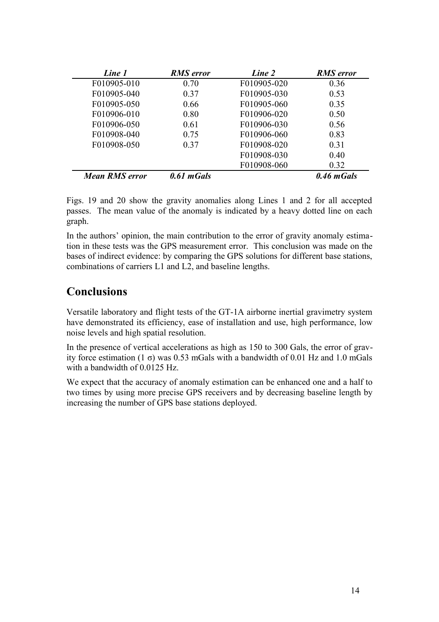| Line 1         | <b>RMS</b> error | Line 2      | <b>RMS</b> error |
|----------------|------------------|-------------|------------------|
| F010905-010    | 0.70             | F010905-020 | 0.36             |
| F010905-040    | 0.37             | F010905-030 | 0.53             |
| F010905-050    | 0.66             | F010905-060 | 0.35             |
| F010906-010    | 0.80             | F010906-020 | 0.50             |
| F010906-050    | 0.61             | F010906-030 | 0.56             |
| F010908-040    | 0.75             | F010906-060 | 0.83             |
| F010908-050    | 0.37             | F010908-020 | 0.31             |
|                |                  | F010908-030 | 0.40             |
|                |                  | F010908-060 | 0.32             |
| Mean RMS error | 0.61 mGals       |             | 0.46 mGals       |

Figs. 19 and 20 show the gravity anomalies along Lines 1 and 2 for all accepted passes. The mean value of the anomaly is indicated by a heavy dotted line on each graph.

In the authors' opinion, the main contribution to the error of gravity anomaly estimation in these tests was the GPS measurement error. This conclusion was made on the bases of indirect evidence: by comparing the GPS solutions for different base stations, combinations of carriers L1 and L2, and baseline lengths.

## **Conclusions**

Versatile laboratory and flight tests of the GT-1A airborne inertial gravimetry system have demonstrated its efficiency, ease of installation and use, high performance, low noise levels and high spatial resolution.

In the presence of vertical accelerations as high as 150 to 300 Gals, the error of gravity force estimation (1  $\sigma$ ) was 0.53 mGals with a bandwidth of 0.01 Hz and 1.0 mGals with a bandwidth of 0.0125 Hz.

We expect that the accuracy of anomaly estimation can be enhanced one and a half to two times by using more precise GPS receivers and by decreasing baseline length by increasing the number of GPS base stations deployed.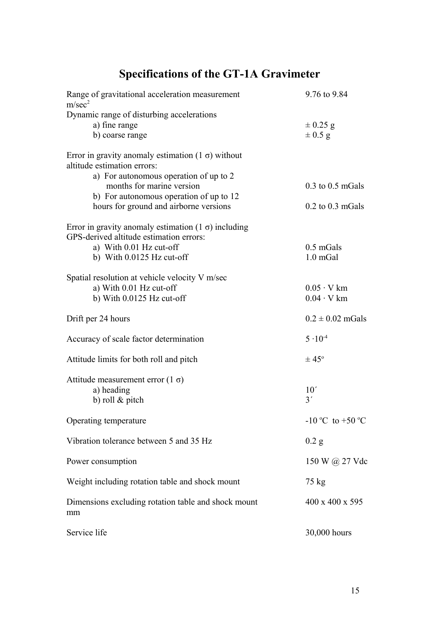# **Specifications of the GT-1A Gravimeter**

| Range of gravitational acceleration measurement<br>m/sec <sup>2</sup>                                 | 9.76 to 9.84                           |
|-------------------------------------------------------------------------------------------------------|----------------------------------------|
| Dynamic range of disturbing accelerations<br>a) fine range<br>b) coarse range                         | $\pm 0.25$ g<br>$\pm$ 0.5 g            |
| Error in gravity anomaly estimation $(1 \sigma)$ without<br>altitude estimation errors:               |                                        |
| a) For autonomous operation of up to 2<br>months for marine version                                   | $0.3$ to $0.5$ mGals                   |
| b) For autonomous operation of up to 12<br>hours for ground and airborne versions                     | $0.2$ to $0.3$ mGals                   |
| Error in gravity anomaly estimation $(1 \sigma)$ including<br>GPS-derived altitude estimation errors: |                                        |
| a) With 0.01 Hz cut-off                                                                               | $0.5$ mGals                            |
| b) With $0.0125$ Hz cut-off                                                                           | $1.0$ mGal                             |
| Spatial resolution at vehicle velocity V m/sec                                                        |                                        |
| a) With 0.01 Hz cut-off<br>b) With $0.0125$ Hz cut-off                                                | $0.05 \cdot V$ km<br>$0.04 \cdot V$ km |
|                                                                                                       |                                        |
| Drift per 24 hours                                                                                    | $0.2 \pm 0.02$ mGals                   |
| Accuracy of scale factor determination                                                                | $5 \cdot 10^{-4}$                      |
| Attitude limits for both roll and pitch                                                               | $\pm 45^{\circ}$                       |
| Attitude measurement error $(1 \sigma)$                                                               |                                        |
| a) heading                                                                                            | 10'<br>3'                              |
| b) roll $&$ pitch                                                                                     |                                        |
| Operating temperature                                                                                 | $-10$ °C to +50 °C                     |
| Vibration tolerance between 5 and 35 Hz                                                               | $0.2$ g                                |
| Power consumption                                                                                     | 150 W @ 27 Vdc                         |
| Weight including rotation table and shock mount                                                       | 75 kg                                  |
| Dimensions excluding rotation table and shock mount<br>mm                                             | 400 x 400 x 595                        |
| Service life                                                                                          | 30,000 hours                           |